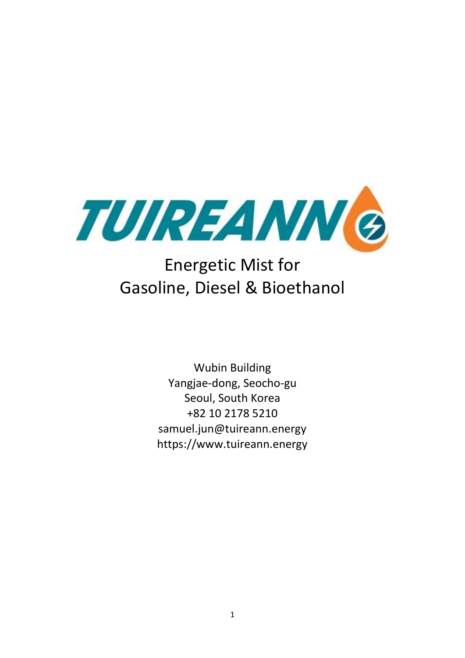

# Energetic Mist for Gasoline, Diesel & Bioethanol

Wubin Building Yangjae-dong, Seocho-gu Seoul, South Korea +82 10 2178 5210 samuel.jun@tuireann.energy https://www.tuireann.energy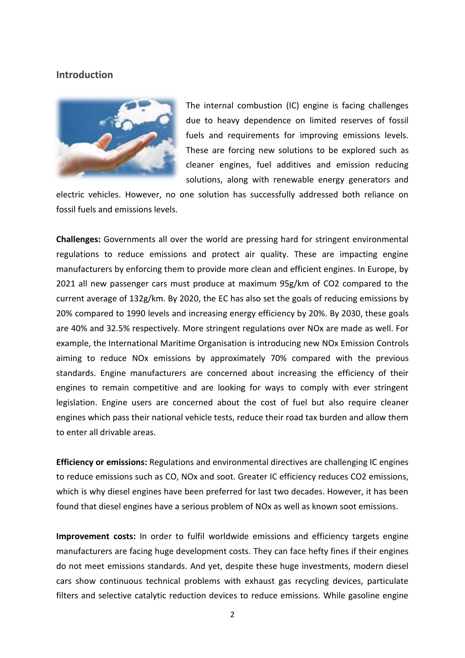### **Introduction**



The internal combustion (IC) engine is facing challenges due to heavy dependence on limited reserves of fossil fuels and requirements for improving emissions levels. These are forcing new solutions to be explored such as cleaner engines, fuel additives and emission reducing solutions, along with renewable energy generators and

electric vehicles. However, no one solution has successfully addressed both reliance on fossil fuels and emissions levels.

**Challenges:** Governments all over the world are pressing hard for stringent environmental regulations to reduce emissions and protect air quality. These are impacting engine manufacturers by enforcing them to provide more clean and efficient engines. In Europe, by 2021 all new passenger cars must produce at maximum 95g/km of CO2 compared to the current average of 132g/km. By 2020, the EC has also set the goals of reducing emissions by 20% compared to 1990 levels and increasing energy efficiency by 20%. By 2030, these goals are 40% and 32.5% respectively. More stringent regulations over NOx are made as well. For example, the International Maritime Organisation is introducing new NOx Emission Controls aiming to reduce NOx emissions by approximately 70% compared with the previous standards. Engine manufacturers are concerned about increasing the efficiency of their engines to remain competitive and are looking for ways to comply with ever stringent legislation. Engine users are concerned about the cost of fuel but also require cleaner engines which pass their national vehicle tests, reduce their road tax burden and allow them to enter all drivable areas.

**Efficiency or emissions:** Regulations and environmental directives are challenging IC engines to reduce emissions such as CO, NOx and soot. Greater IC efficiency reduces CO2 emissions, which is why diesel engines have been preferred for last two decades. However, it has been found that diesel engines have a serious problem of NOx as well as known soot emissions.

**Improvement costs:** In order to fulfil worldwide emissions and efficiency targets engine manufacturers are facing huge development costs. They can face hefty fines if their engines do not meet emissions standards. And yet, despite these huge investments, modern diesel cars show continuous technical problems with exhaust gas recycling devices, particulate filters and selective catalytic reduction devices to reduce emissions. While gasoline engine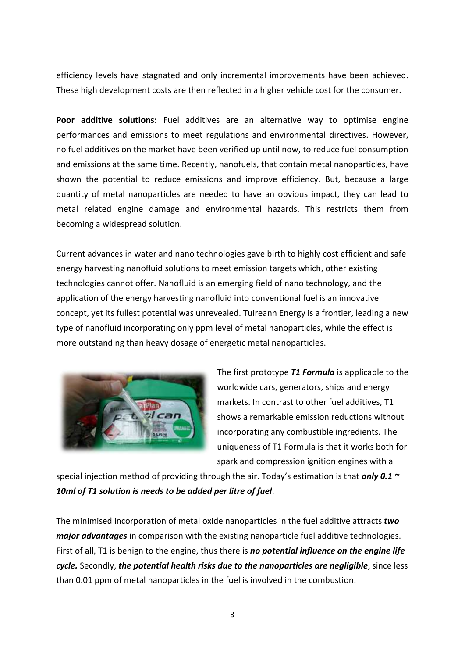efficiency levels have stagnated and only incremental improvements have been achieved. These high development costs are then reflected in a higher vehicle cost for the consumer.

**Poor additive solutions:** Fuel additives are an alternative way to optimise engine performances and emissions to meet regulations and environmental directives. However, no fuel additives on the market have been verified up until now, to reduce fuel consumption and emissions at the same time. Recently, nanofuels, that contain metal nanoparticles, have shown the potential to reduce emissions and improve efficiency. But, because a large quantity of metal nanoparticles are needed to have an obvious impact, they can lead to metal related engine damage and environmental hazards. This restricts them from becoming a widespread solution.

Current advances in water and nano technologies gave birth to highly cost efficient and safe energy harvesting nanofluid solutions to meet emission targets which, other existing technologies cannot offer. Nanofluid is an emerging field of nano technology, and the application of the energy harvesting nanofluid into conventional fuel is an innovative concept, yet its fullest potential was unrevealed. Tuireann Energy is a frontier, leading a new type of nanofluid incorporating only ppm level of metal nanoparticles, while the effect is more outstanding than heavy dosage of energetic metal nanoparticles.



The first prototype *T1 Formula* is applicable to the worldwide cars, generators, ships and energy markets. In contrast to other fuel additives, T1 shows a remarkable emission reductions without incorporating any combustible ingredients. The uniqueness of T1 Formula is that it works both for spark and compression ignition engines with a

special injection method of providing through the air. Today's estimation is that *only 0.1 ~ 10ml of T1 solution is needs to be added per litre of fuel*.

The minimised incorporation of metal oxide nanoparticles in the fuel additive attracts *two major advantages* in comparison with the existing nanoparticle fuel additive technologies. First of all, T1 is benign to the engine, thus there is *no potential influence on the engine life cycle.* Secondly, *the potential health risks due to the nanoparticles are negligible*, since less than 0.01 ppm of metal nanoparticles in the fuel is involved in the combustion.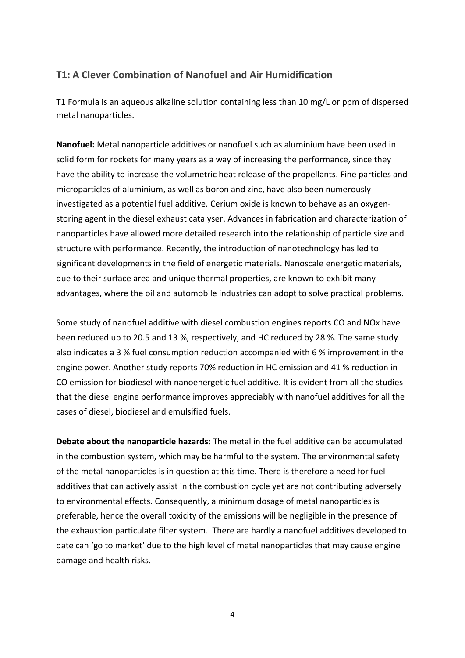# **T1: A Clever Combination of Nanofuel and Air Humidification**

T1 Formula is an aqueous alkaline solution containing less than 10 mg/L or ppm of dispersed metal nanoparticles.

**Nanofuel:** Metal nanoparticle additives or nanofuel such as aluminium have been used in solid form for rockets for many years as a way of increasing the performance, since they have the ability to increase the volumetric heat release of the propellants. Fine particles and microparticles of aluminium, as well as boron and zinc, have also been numerously investigated as a potential fuel additive. Cerium oxide is known to behave as an oxygenstoring agent in the diesel exhaust catalyser. Advances in fabrication and characterization of nanoparticles have allowed more detailed research into the relationship of particle size and structure with performance. Recently, the introduction of nanotechnology has led to significant developments in the field of energetic materials. Nanoscale energetic materials, due to their surface area and unique thermal properties, are known to exhibit many advantages, where the oil and automobile industries can adopt to solve practical problems.

Some study of nanofuel additive with diesel combustion engines reports CO and NOx have been reduced up to 20.5 and 13 %, respectively, and HC reduced by 28 %. The same study also indicates a 3 % fuel consumption reduction accompanied with 6 % improvement in the engine power. Another study reports 70% reduction in HC emission and 41 % reduction in CO emission for biodiesel with nanoenergetic fuel additive. It is evident from all the studies that the diesel engine performance improves appreciably with nanofuel additives for all the cases of diesel, biodiesel and emulsified fuels.

**Debate about the nanoparticle hazards:** The metal in the fuel additive can be accumulated in the combustion system, which may be harmful to the system. The environmental safety of the metal nanoparticles is in question at this time. There is therefore a need for fuel additives that can actively assist in the combustion cycle yet are not contributing adversely to environmental effects. Consequently, a minimum dosage of metal nanoparticles is preferable, hence the overall toxicity of the emissions will be negligible in the presence of the exhaustion particulate filter system. There are hardly a nanofuel additives developed to date can 'go to market' due to the high level of metal nanoparticles that may cause engine damage and health risks.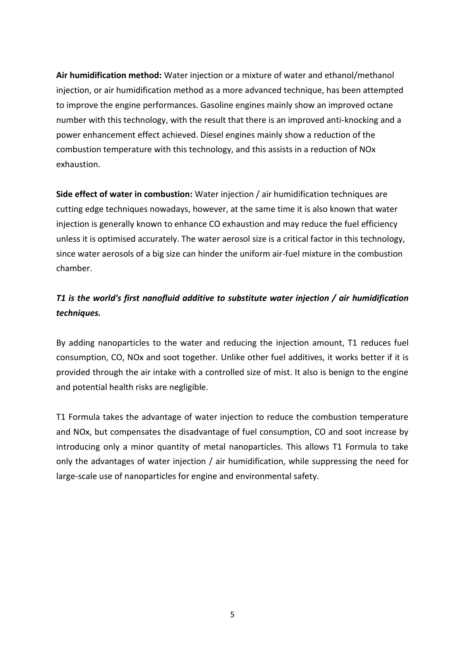**Air humidification method:** Water injection or a mixture of water and ethanol/methanol injection, or air humidification method as a more advanced technique, has been attempted to improve the engine performances. Gasoline engines mainly show an improved octane number with this technology, with the result that there is an improved anti-knocking and a power enhancement effect achieved. Diesel engines mainly show a reduction of the combustion temperature with this technology, and this assists in a reduction of NOx exhaustion.

**Side effect of water in combustion:** Water injection / air humidification techniques are cutting edge techniques nowadays, however, at the same time it is also known that water injection is generally known to enhance CO exhaustion and may reduce the fuel efficiency unless it is optimised accurately. The water aerosol size is a critical factor in this technology, since water aerosols of a big size can hinder the uniform air-fuel mixture in the combustion chamber.

# *T1 is the world's first nanofluid additive to substitute water injection / air humidification techniques.*

By adding nanoparticles to the water and reducing the injection amount, T1 reduces fuel consumption, CO, NOx and soot together. Unlike other fuel additives, it works better if it is provided through the air intake with a controlled size of mist. It also is benign to the engine and potential health risks are negligible.

T1 Formula takes the advantage of water injection to reduce the combustion temperature and NOx, but compensates the disadvantage of fuel consumption, CO and soot increase by introducing only a minor quantity of metal nanoparticles. This allows T1 Formula to take only the advantages of water injection / air humidification, while suppressing the need for large-scale use of nanoparticles for engine and environmental safety.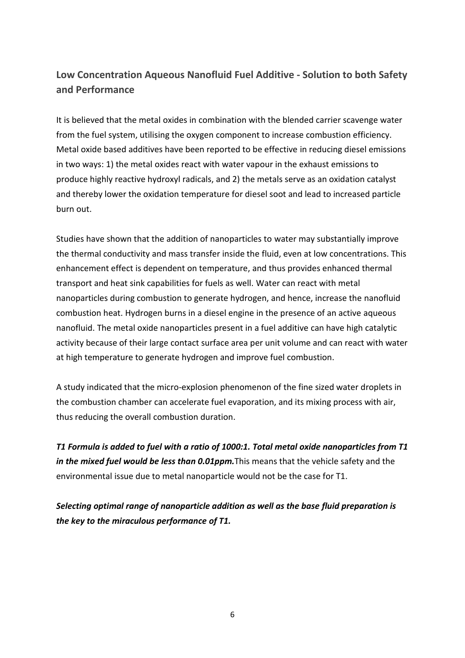# **Low Concentration Aqueous Nanofluid Fuel Additive - Solution to both Safety and Performance**

It is believed that the metal oxides in combination with the blended carrier scavenge water from the fuel system, utilising the oxygen component to increase combustion efficiency. Metal oxide based additives have been reported to be effective in reducing diesel emissions in two ways: 1) the metal oxides react with water vapour in the exhaust emissions to produce highly reactive hydroxyl radicals, and 2) the metals serve as an oxidation catalyst and thereby lower the oxidation temperature for diesel soot and lead to increased particle burn out.

Studies have shown that the addition of nanoparticles to water may substantially improve the thermal conductivity and mass transfer inside the fluid, even at low concentrations. This enhancement effect is dependent on temperature, and thus provides enhanced thermal transport and heat sink capabilities for fuels as well. Water can react with metal nanoparticles during combustion to generate hydrogen, and hence, increase the nanofluid combustion heat. Hydrogen burns in a diesel engine in the presence of an active aqueous nanofluid. The metal oxide nanoparticles present in a fuel additive can have high catalytic activity because of their large contact surface area per unit volume and can react with water at high temperature to generate hydrogen and improve fuel combustion.

A study indicated that the micro-explosion phenomenon of the fine sized water droplets in the combustion chamber can accelerate fuel evaporation, and its mixing process with air, thus reducing the overall combustion duration.

*T1 Formula is added to fuel with a ratio of 1000:1. Total metal oxide nanoparticles from T1 in the mixed fuel would be less than 0.01ppm.*This means that the vehicle safety and the environmental issue due to metal nanoparticle would not be the case for T1.

*Selecting optimal range of nanoparticle addition as well as the base fluid preparation is the key to the miraculous performance of T1.*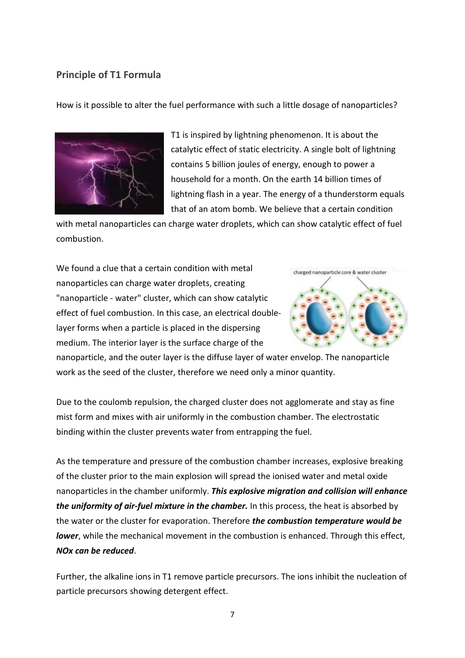### **Principle of T1 Formula**

How is it possible to alter the fuel performance with such a little dosage of nanoparticles?



T1 is inspired by lightning phenomenon. It is about the catalytic effect of static electricity. A single bolt of lightning contains 5 billion joules of energy, enough to power a household for a month. On the earth 14 billion times of lightning flash in a year. The energy of a thunderstorm equals that of an atom bomb. We believe that a certain condition

with metal nanoparticles can charge water droplets, which can show catalytic effect of fuel combustion.

We found a clue that a certain condition with metal nanoparticles can charge water droplets, creating "nanoparticle - water" cluster, which can show catalytic effect of fuel combustion. In this case, an electrical doublelayer forms when a particle is placed in the dispersing medium. The interior layer is the surface charge of the



nanoparticle, and the outer layer is the diffuse layer of water envelop. The nanoparticle work as the seed of the cluster, therefore we need only a minor quantity.

Due to the coulomb repulsion, the charged cluster does not agglomerate and stay as fine mist form and mixes with air uniformly in the combustion chamber. The electrostatic binding within the cluster prevents water from entrapping the fuel.

As the temperature and pressure of the combustion chamber increases, explosive breaking of the cluster prior to the main explosion will spread the ionised water and metal oxide nanoparticles in the chamber uniformly. *This explosive migration and collision will enhance the uniformity of air-fuel mixture in the chamber.* In this process, the heat is absorbed by the water or the cluster for evaporation. Therefore *the combustion temperature would be lower*, while the mechanical movement in the combustion is enhanced. Through this effect, *NOx can be reduced*.

Further, the alkaline ions in T1 remove particle precursors. The ions inhibit the nucleation of particle precursors showing detergent effect.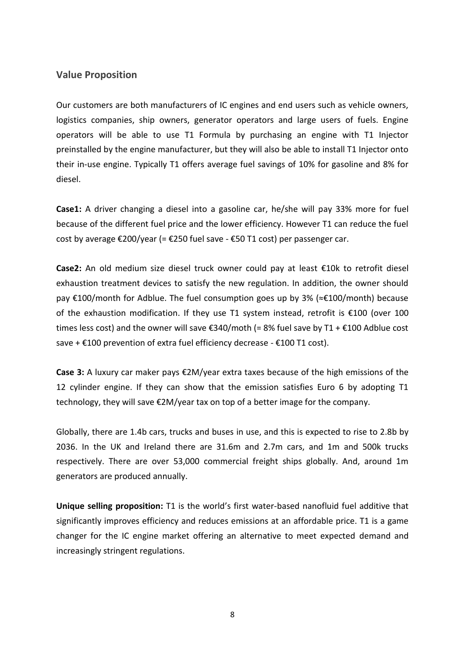### **Value Proposition**

Our customers are both manufacturers of IC engines and end users such as vehicle owners, logistics companies, ship owners, generator operators and large users of fuels. Engine operators will be able to use T1 Formula by purchasing an engine with T1 Injector preinstalled by the engine manufacturer, but they will also be able to install T1 Injector onto their in-use engine. Typically T1 offers average fuel savings of 10% for gasoline and 8% for diesel.

**Case1:** A driver changing a diesel into a gasoline car, he/she will pay 33% more for fuel because of the different fuel price and the lower efficiency. However T1 can reduce the fuel cost by average  $\epsilon$ 200/year (=  $\epsilon$ 250 fuel save -  $\epsilon$ 50 T1 cost) per passenger car.

**Case2:** An old medium size diesel truck owner could pay at least €10k to retrofit diesel exhaustion treatment devices to satisfy the new regulation. In addition, the owner should pay €100/month for Adblue. The fuel consumption goes up by 3% (≈€100/month) because of the exhaustion modification. If they use T1 system instead, retrofit is €100 (over 100 times less cost) and the owner will save €340/moth (= 8% fuel save by T1 + €100 Adblue cost save + €100 prevention of extra fuel efficiency decrease - €100 T1 cost).

**Case 3:** A luxury car maker pays €2M/year extra taxes because of the high emissions of the 12 cylinder engine. If they can show that the emission satisfies Euro 6 by adopting T1 technology, they will save €2M/year tax on top of a better image for the company.

Globally, there are 1.4b cars, trucks and buses in use, and this is expected to rise to 2.8b by 2036. In the UK and Ireland there are 31.6m and 2.7m cars, and 1m and 500k trucks respectively. There are over 53,000 commercial freight ships globally. And, around 1m generators are produced annually.

**Unique selling proposition:** T1 is the world's first water-based nanofluid fuel additive that significantly improves efficiency and reduces emissions at an affordable price. T1 is a game changer for the IC engine market offering an alternative to meet expected demand and increasingly stringent regulations.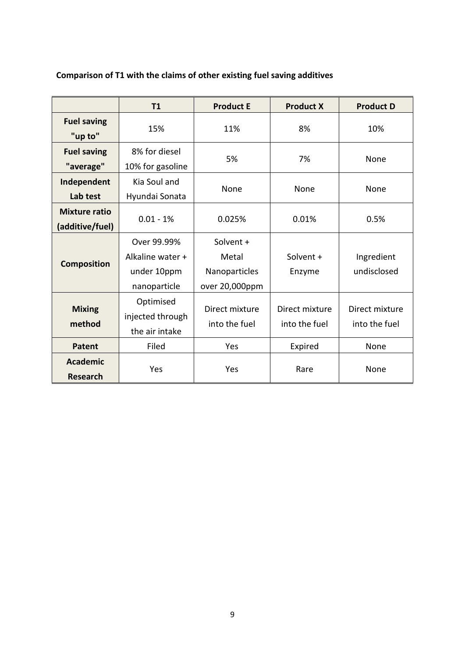|                                         | T1                                                             | <b>Product E</b>                                      | <b>Product X</b>                | <b>Product D</b>                |
|-----------------------------------------|----------------------------------------------------------------|-------------------------------------------------------|---------------------------------|---------------------------------|
| <b>Fuel saving</b><br>"up to"           | 15%                                                            | 11%                                                   | 8%                              | 10%                             |
| <b>Fuel saving</b><br>"average"         | 8% for diesel<br>10% for gasoline                              | 5%                                                    | 7%                              | None                            |
| Independent<br>Lab test                 | Kia Soul and<br>Hyundai Sonata                                 | None                                                  | None                            | None                            |
| <b>Mixture ratio</b><br>(additive/fuel) | $0.01 - 1%$                                                    | 0.025%                                                | 0.01%                           | 0.5%                            |
| <b>Composition</b>                      | Over 99.99%<br>Alkaline water +<br>under 10ppm<br>nanoparticle | Solvent +<br>Metal<br>Nanoparticles<br>over 20,000ppm | Solvent +<br>Enzyme             | Ingredient<br>undisclosed       |
| <b>Mixing</b><br>method                 | Optimised<br>injected through<br>the air intake                | Direct mixture<br>into the fuel                       | Direct mixture<br>into the fuel | Direct mixture<br>into the fuel |
| <b>Patent</b>                           | Filed                                                          | Yes                                                   | Expired                         | None                            |
| <b>Academic</b><br><b>Research</b>      | Yes                                                            | Yes                                                   | Rare                            | None                            |

# **Comparison of T1 with the claims of other existing fuel saving additives**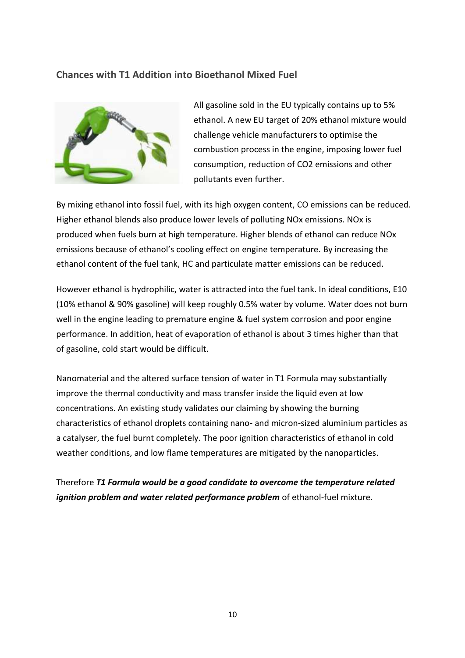### **Chances with T1 Addition into Bioethanol Mixed Fuel**



All gasoline sold in the EU typically contains up to 5% ethanol. A new EU target of 20% ethanol mixture would challenge vehicle manufacturers to optimise the combustion process in the engine, imposing lower fuel consumption, reduction of CO2 emissions and other pollutants even further.

By mixing ethanol into fossil fuel, with its high oxygen content, CO emissions can be reduced. Higher ethanol blends also produce lower levels of polluting NOx emissions. NOx is produced when fuels burn at high temperature. Higher blends of ethanol can reduce NOx emissions because of ethanol's cooling effect on engine temperature. By increasing the ethanol content of the fuel tank, HC and particulate matter emissions can be reduced.

However ethanol is hydrophilic, water is attracted into the fuel tank. In ideal conditions, E10 (10% ethanol & 90% gasoline) will keep roughly 0.5% water by volume. Water does not burn well in the engine leading to premature engine & fuel system corrosion and poor engine performance. In addition, heat of evaporation of ethanol is about 3 times higher than that of gasoline, cold start would be difficult.

Nanomaterial and the altered surface tension of water in T1 Formula may substantially improve the thermal conductivity and mass transfer inside the liquid even at low concentrations. An existing study validates our claiming by showing the burning characteristics of ethanol droplets containing nano- and micron-sized aluminium particles as a catalyser, the fuel burnt completely. The poor ignition characteristics of ethanol in cold weather conditions, and low flame temperatures are mitigated by the nanoparticles.

Therefore *T1 Formula would be a good candidate to overcome the temperature related ignition problem and water related performance problem* of ethanol-fuel mixture.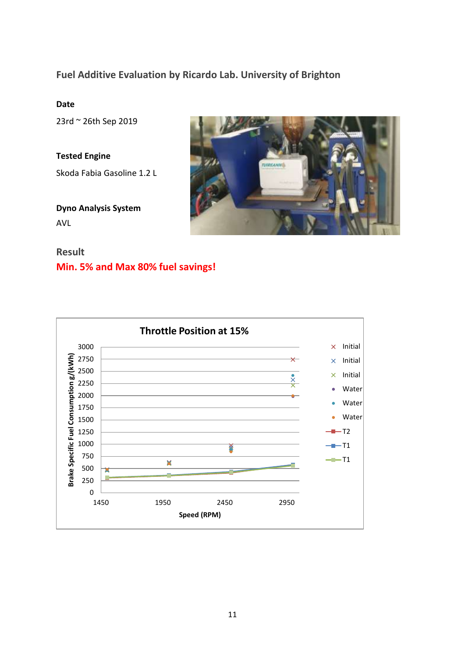# **Fuel Additive Evaluation by Ricardo Lab. University of Brighton**

### **Date**

23rd ~ 26th Sep 2019

**Tested Engine** Skoda Fabia Gasoline 1.2 L

**Dyno Analysis System** AVL



# **Result Min. 5% and Max 80% fuel savings!**

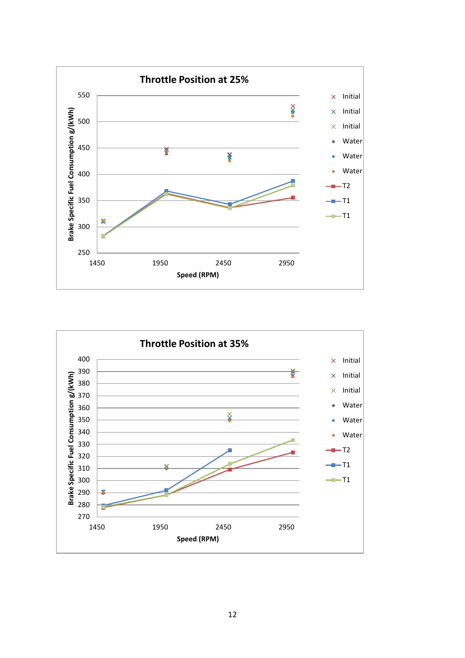

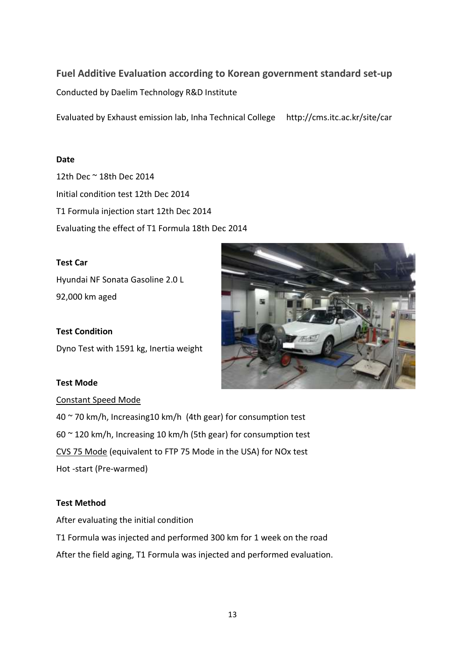# **Fuel Additive Evaluation according to Korean government standard set-up**

Conducted by Daelim Technology R&D Institute

Evaluated by Exhaust emission lab, Inha Technical College http://cms.itc.ac.kr/site/car

### **Date**

12th Dec ~ 18th Dec 2014 Initial condition test 12th Dec 2014 T1 Formula injection start 12th Dec 2014 Evaluating the effect of T1 Formula 18th Dec 2014

### **Test Car**

Hyundai NF Sonata Gasoline 2.0 L 92,000 km aged



# **Test Condition**

Dyno Test with 1591 kg, Inertia weight

### **Test Mode**

# Constant Speed Mode

40 ~ 70 km/h, Increasing10 km/h (4th gear) for consumption test 60 ~ 120 km/h, Increasing 10 km/h (5th gear) for consumption test CVS 75 Mode (equivalent to FTP 75 Mode in the USA) for NOx test Hot -start (Pre-warmed)

### **Test Method**

After evaluating the initial condition

T1 Formula was injected and performed 300 km for 1 week on the road After the field aging, T1 Formula was injected and performed evaluation.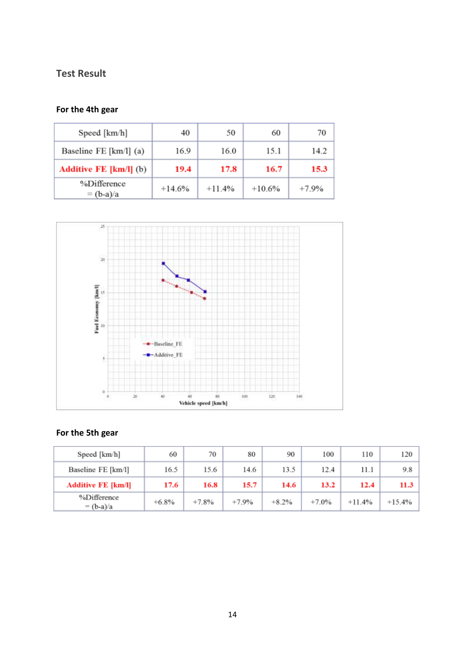# **Test Result**

# **For the 4th gear**

| Speed [km/h]                  | 40       | 50       | 60       | 70      |
|-------------------------------|----------|----------|----------|---------|
| Baseline FE [km/l] (a)        | 16.9     | 16.0     | 15.1     | 14.2    |
| <b>Additive FE [km/l]</b> (b) | 19.4     | 17.8     | 16.7     | 15.3    |
| %Difference<br>$=$ (b-a)/a    | $+14.6%$ | $+11.4%$ | $+10.6%$ | $+7.9%$ |



# **For the 5th gear**

| Speed [km/h]               | 60      | 70      | 80      | 90      | 100     | 110      | 120      |
|----------------------------|---------|---------|---------|---------|---------|----------|----------|
| Baseline FE [km/l]         | 16.5    | 15.6    | 14.6    | 13.5    | 12.4    | 11.1     | 9.8      |
| <b>Additive FE [km/l]</b>  | 17.6    | 16.8    | 15.7    | 14.6    | 13.2    | 12.4     | 11.3     |
| %Difference<br>$=$ (b-a)/a | $+6.8%$ | $+7.8%$ | $+7.9%$ | $+8.2%$ | $+7.0%$ | $+11.4%$ | $+15.4%$ |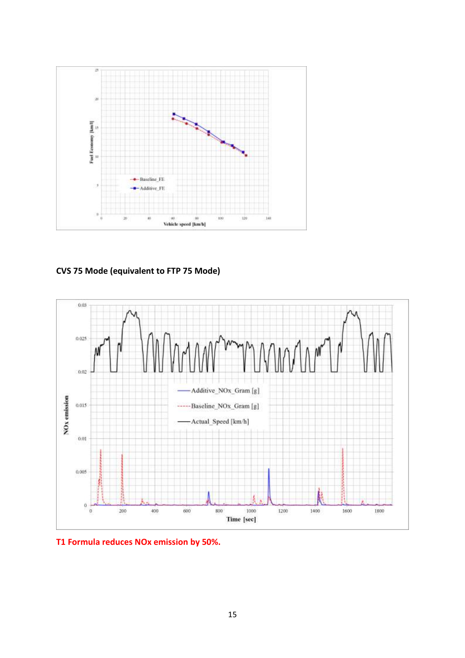

**CVS 75 Mode (equivalent to FTP 75 Mode)**



**T1 Formula reduces NOx emission by 50%.**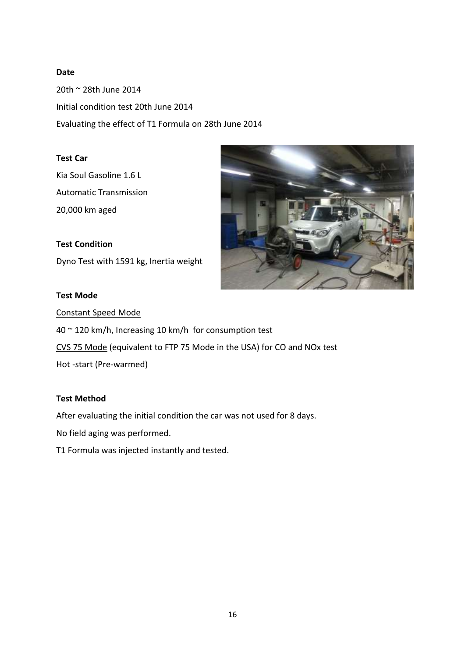### **Date**

20th ~ 28th June 2014 Initial condition test 20th June 2014 Evaluating the effect of T1 Formula on 28th June 2014

### **Test Car**

Kia Soul Gasoline 1.6 L Automatic Transmission 20,000 km aged

**Test Condition** Dyno Test with 1591 kg, Inertia weight

# **Test Mode**



Constant Speed Mode

40 ~ 120 km/h, Increasing 10 km/h for consumption test

CVS 75 Mode (equivalent to FTP 75 Mode in the USA) for CO and NOx test

Hot -start (Pre-warmed)

### **Test Method**

After evaluating the initial condition the car was not used for 8 days.

No field aging was performed.

T1 Formula was injected instantly and tested.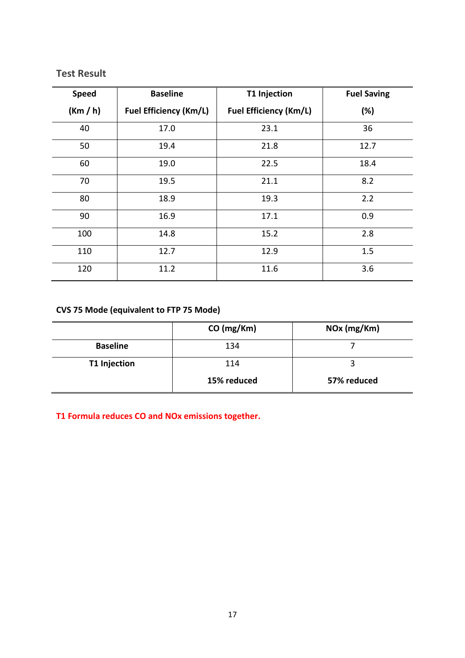# **Test Result**

| <b>Speed</b> | <b>Baseline</b>               | <b>T1 Injection</b>           | <b>Fuel Saving</b> |
|--------------|-------------------------------|-------------------------------|--------------------|
| (Km / h)     | <b>Fuel Efficiency (Km/L)</b> | <b>Fuel Efficiency (Km/L)</b> | (%)                |
| 40           | 17.0                          | 23.1                          | 36                 |
| 50           | 19.4                          | 21.8                          | 12.7               |
| 60           | 19.0                          | 22.5                          | 18.4               |
| 70           | 19.5                          | 21.1                          | 8.2                |
| 80           | 18.9                          | 19.3                          | 2.2                |
| 90           | 16.9                          | 17.1                          | 0.9                |
| 100          | 14.8                          | 15.2                          | 2.8                |
| 110          | 12.7                          | 12.9                          | 1.5                |
| 120          | 11.2                          | 11.6                          | 3.6                |

# **CVS 75 Mode (equivalent to FTP 75 Mode)**

|                     | CO (mg/Km)  | NOx (mg/Km) |
|---------------------|-------------|-------------|
| <b>Baseline</b>     | 134         |             |
| <b>T1 Injection</b> | 114         |             |
|                     | 15% reduced | 57% reduced |

**T1 Formula reduces CO and NOx emissions together.**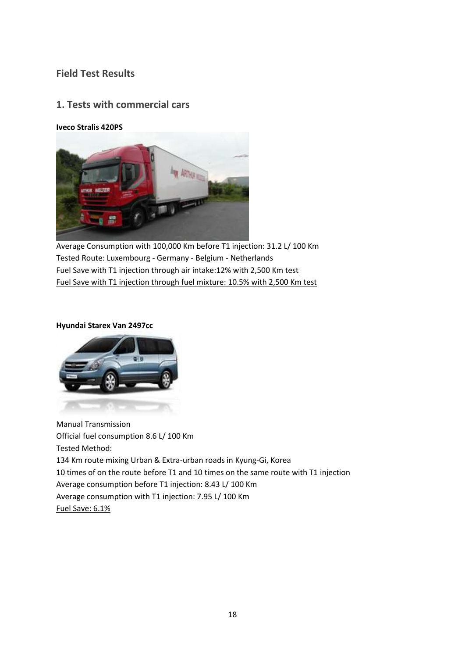# **Field Test Results**

## **1. Tests with commercial cars**

### **Iveco Stralis 420PS**



Average Consumption with 100,000 Km before T1 injection: 31.2 L/ 100 Km Tested Route: Luxembourg - Germany - Belgium - Netherlands Fuel Save with T1 injection through air intake:12% with 2,500 Km test Fuel Save with T1 injection through fuel mixture: 10.5% with 2,500 Km test

#### **Hyundai Starex Van 2497cc**



Manual Transmission Official fuel consumption 8.6 L/ 100 Km Tested Method: 134 Km route mixing Urban & Extra-urban roads in Kyung-Gi, Korea 10 times of on the route before T1 and 10 times on the same route with T1 injection Average consumption before T1 injection: 8.43 L/ 100 Km Average consumption with T1 injection: 7.95 L/ 100 Km Fuel Save: 6.1%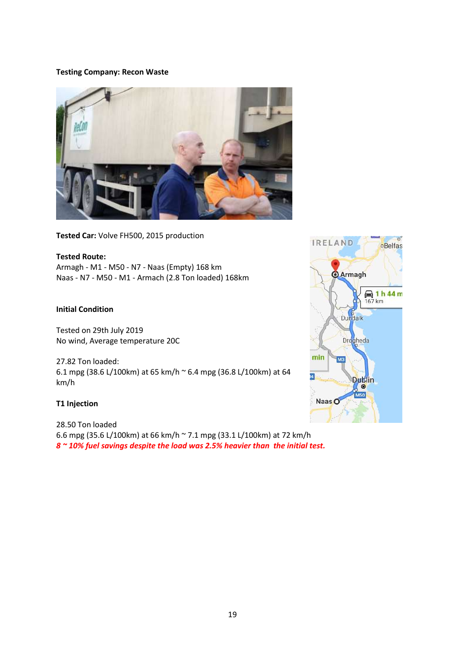#### **Testing Company: Recon Waste**



**Tested Car:** Volve FH500, 2015 production

**Tested Route:** Armagh - M1 - M50 - N7 - Naas (Empty) 168 km Naas - N7 - M50 - M1 - Armach (2.8 Ton loaded) 168km

#### **Initial Condition**

Tested on 29th July 2019 No wind, Average temperature 20C

27.82 Ton loaded: 6.1 mpg (38.6 L/100km) at 65 km/h ~ 6.4 mpg (36.8 L/100km) at 64 km/h

#### **T1 Injection**

28.50 Ton loaded 6.6 mpg (35.6 L/100km) at 66 km/h ~ 7.1 mpg (33.1 L/100km) at 72 km/h *8 ~ 10% fuel savings despite the load was 2.5% heavier than the initial test.*

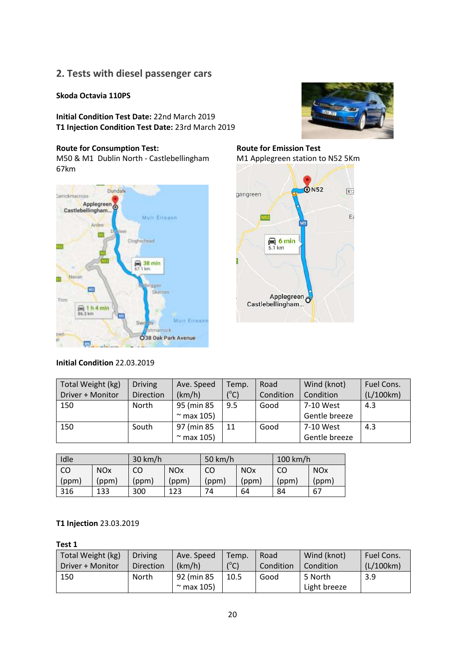# **2. Tests with diesel passenger cars**

### **Skoda Octavia 110PS**

**Initial Condition Test Date:** 22nd March 2019 **T1 Injection Condition Test Date:** 23rd March 2019

#### **Route for Consumption Test:**

M50 & M1 Dublin North - Castlebellingham 67km



### **Initial Condition** 22.03.2019



**Route for Emission Test** M1 Applegreen station to N52 5Km



| Total Weight (kg) | <b>Driving</b> | Ave. Speed      | Temp.         | Road      | Wind (knot)   | Fuel Cons. |
|-------------------|----------------|-----------------|---------------|-----------|---------------|------------|
| Driver + Monitor  | Direction      | (km/h)          | $(^{\circ}C)$ | Condition | Condition     | (L/100km)  |
| 150               | North          | 95 (min 85      | 9.5           | Good      | 7-10 West     | 4.3        |
|                   |                | $\sim$ max 105) |               |           | Gentle breeze |            |
| 150               | South          | 97 (min 85      | 11            | Good      | 7-10 West     | 4.3        |
|                   |                | $\sim$ max 105) |               |           | Gentle breeze |            |

| Idle  |                       | $30 \text{ km/h}$ |                       | 50 km/h |                       | $100$ km/h |                       |
|-------|-----------------------|-------------------|-----------------------|---------|-----------------------|------------|-----------------------|
| CO    | <b>NO<sub>x</sub></b> | CO                | <b>NO<sub>x</sub></b> | CO      | <b>NO<sub>x</sub></b> | CO         | <b>NO<sub>x</sub></b> |
| (ppm) | (ppm)                 | (ppm)             | (ppm)                 | (ppm)   | (ppm)                 | (ppm)      | (ppm)                 |
| 316   | 133                   | 300               | 123                   | 74      | 64                    | 84         | 67                    |

#### **T1 Injection** 23.03.2019

**Test 1**

| Total Weight (kg) | <b>Driving</b> | Ave. Speed                    | Temp.         | Road      | Wind (knot)             | Fuel Cons. |
|-------------------|----------------|-------------------------------|---------------|-----------|-------------------------|------------|
| Driver + Monitor  | Direction      | (km/h)                        | $(^{\circ}C)$ | Condition | Condition               | (L/100km)  |
| 150               | <b>North</b>   | 92 (min 85<br>$\sim$ max 105) | 10.5          | Good      | 5 North<br>Light breeze | 3.9        |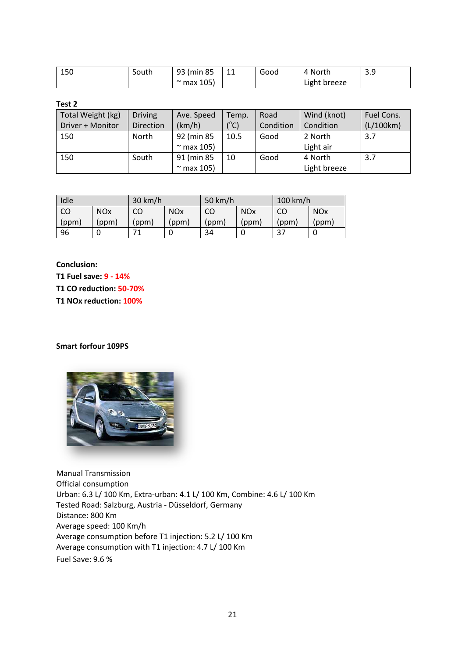| 150 | South | 93 (min 85)     | $\sim$<br>ᆠᅶ | Good | 4 North      | ت. ب |
|-----|-------|-----------------|--------------|------|--------------|------|
|     |       | $\sim$ max 105) |              |      | Light breeze |      |

### **Test 2**

| Total Weight (kg) | <b>Driving</b> | Ave. Speed      | Temp.        | Road      | Wind (knot)  | Fuel Cons. |
|-------------------|----------------|-----------------|--------------|-----------|--------------|------------|
| Driver + Monitor  | Direction      | (km/h)          | $(^\circ C)$ | Condition | Condition    | (L/100km)  |
| 150               | North          | 92 (min 85      | 10.5         | Good      | 2 North      | 3.7        |
|                   |                | $\sim$ max 105) |              |           | Light air    |            |
| 150               | South          | 91 (min 85      | 10           | Good      | 4 North      | 3.7        |
|                   |                | $\sim$ max 105) |              |           | Light breeze |            |

| Idle  |                       | $30 \text{ km/h}$ |                       | 50 km/h |            | $100$ km/h |                       |
|-------|-----------------------|-------------------|-----------------------|---------|------------|------------|-----------------------|
| CO    | <b>NO<sub>x</sub></b> | CO                | <b>NO<sub>x</sub></b> | CO      | <b>NOx</b> | CO         | <b>NO<sub>x</sub></b> |
| (ppm) | (ppm)                 | (ppm)             | (ppm)                 | (ppm)   | (ppm)      | (ppm)      | (ppm)                 |
| 96    |                       |                   |                       | 34      |            | 37         |                       |

**Conclusion:** 

**T1 Fuel save: 9 - 14% T1 CO reduction: 50-70%** 

**T1 NOx reduction: 100%**

**Smart forfour 109PS** 



Manual Transmission Official consumption Urban: 6.3 L/ 100 Km, Extra-urban: 4.1 L/ 100 Km, Combine: 4.6 L/ 100 Km Tested Road: Salzburg, Austria - Düsseldorf, Germany Distance: 800 Km Average speed: 100 Km/h Average consumption before T1 injection: 5.2 L/ 100 Km Average consumption with T1 injection: 4.7 L/ 100 Km Fuel Save: 9.6 %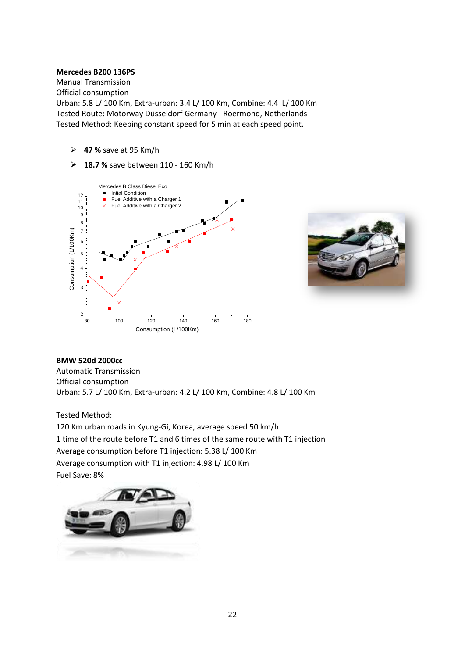#### **Mercedes B200 136PS**

Manual Transmission Official consumption Urban: 5.8 L/ 100 Km, Extra-urban: 3.4 L/ 100 Km, Combine: 4.4 L/ 100 Km Tested Route: Motorway Düsseldorf Germany - Roermond, Netherlands Tested Method: Keeping constant speed for 5 min at each speed point.

- **47 %** save at 95 Km/h
- **18.7 %** save between 110 160 Km/h





### **BMW 520d 2000cc** Automatic Transmission Official consumption Urban: 5.7 L/ 100 Km, Extra-urban: 4.2 L/ 100 Km, Combine: 4.8 L/ 100 Km

Tested Method:

120 Km urban roads in Kyung-Gi, Korea, average speed 50 km/h

1 time of the route before T1 and 6 times of the same route with T1 injection

Average consumption before T1 injection: 5.38 L/ 100 Km

Average consumption with T1 injection: 4.98 L/ 100 Km

Fuel Save: 8%

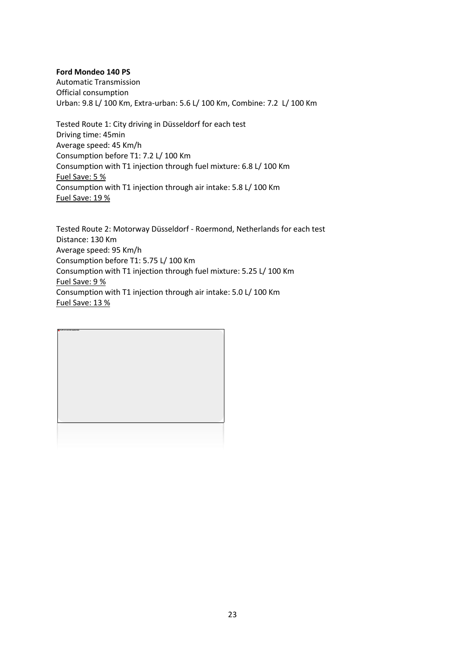#### **Ford Mondeo 140 PS**

Automatic Transmission Official consumption Urban: 9.8 L/ 100 Km, Extra-urban: 5.6 L/ 100 Km, Combine: 7.2 L/ 100 Km

Tested Route 1: City driving in Düsseldorf for each test Driving time: 45min Average speed: 45 Km/h Consumption before T1: 7.2 L/ 100 Km Consumption with T1 injection through fuel mixture: 6.8 L/ 100 Km Fuel Save: 5 % Consumption with T1 injection through air intake: 5.8 L/ 100 Km Fuel Save: 19 %

Tested Route 2: Motorway Düsseldorf - Roermond, Netherlands for each test Distance: 130 Km Average speed: 95 Km/h Consumption before T1: 5.75 L/ 100 Km Consumption with T1 injection through fuel mixture: 5.25 L/ 100 Km Fuel Save: 9 % Consumption with T1 injection through air intake: 5.0 L/ 100 Km Fuel Save: 13 %

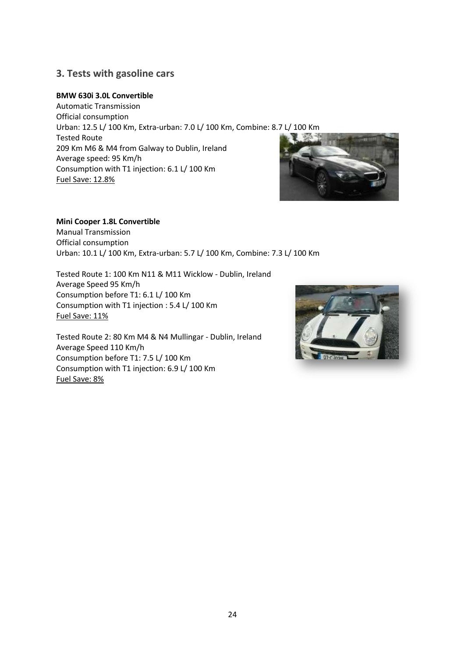# **3. Tests with gasoline cars**

### **BMW 630i 3.0L Convertible**

Automatic Transmission Official consumption Urban: 12.5 L/ 100 Km, Extra-urban: 7.0 L/ 100 Km, Combine: 8.7 L/ 100 Km Tested Route 209 Km M6 & M4 from Galway to Dublin, Ireland Average speed: 95 Km/h Consumption with T1 injection: 6.1 L/ 100 Km Fuel Save: 12.8%



### **Mini Cooper 1.8L Convertible**

Manual Transmission Official consumption Urban: 10.1 L/ 100 Km, Extra-urban: 5.7 L/ 100 Km, Combine: 7.3 L/ 100 Km

Tested Route 1: 100 Km N11 & M11 Wicklow - Dublin, Ireland Average Speed 95 Km/h Consumption before T1: 6.1 L/ 100 Km Consumption with T1 injection : 5.4 L/ 100 Km Fuel Save: 11%

Tested Route 2: 80 Km M4 & N4 Mullingar - Dublin, Ireland Average Speed 110 Km/h Consumption before T1: 7.5 L/ 100 Km Consumption with T1 injection: 6.9 L/ 100 Km Fuel Save: 8%

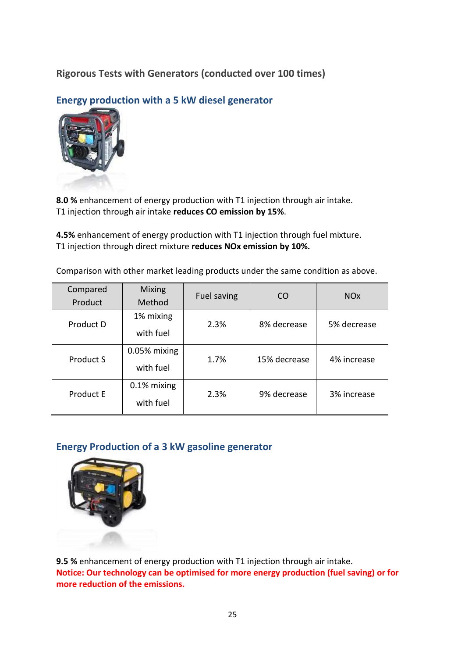# **Rigorous Tests with Generators (conducted over 100 times)**

**Energy production with a 5 kW diesel generator**



**8.0 %** enhancement of energy production with T1 injection through air intake. T1 injection through air intake **reduces CO emission by 15%**.

**4.5%** enhancement of energy production with T1 injection through fuel mixture. T1 injection through direct mixture **reduces NOx emission by 10%.**

Comparison with other market leading products under the same condition as above.

| Compared<br>Product | <b>Mixing</b><br>Method   | Fuel saving | CO           | <b>NO<sub>x</sub></b> |
|---------------------|---------------------------|-------------|--------------|-----------------------|
| Product D           | 1% mixing<br>with fuel    | 2.3%        | 8% decrease  | 5% decrease           |
| Product S           | 0.05% mixing<br>with fuel | 1.7%        | 15% decrease | 4% increase           |
| Product E           | 0.1% mixing<br>with fuel  | 2.3%        | 9% decrease  | 3% increase           |

# **Energy Production of a 3 kW gasoline generator**



**9.5 %** enhancement of energy production with T1 injection through air intake. **Notice: Our technology can be optimised for more energy production (fuel saving) or for more reduction of the emissions.**